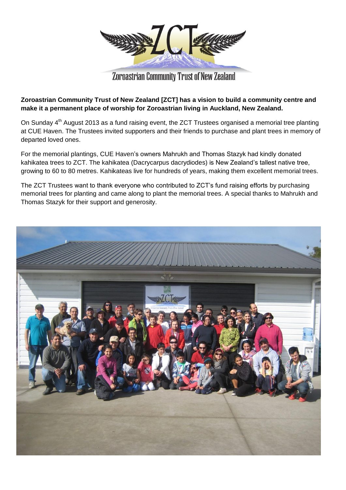

## Zoroastrian Community Trust of New Zealand

## **Zoroastrian Community Trust of New Zealand [ZCT] has a vision to build a community centre and make it a permanent place of worship for Zoroastrian living in Auckland, New Zealand.**

On Sunday 4<sup>th</sup> August 2013 as a fund raising event, the ZCT Trustees organised a memorial tree planting at CUE Haven. The Trustees invited supporters and their friends to purchase and plant trees in memory of departed loved ones.

For the memorial plantings, CUE Haven's owners Mahrukh and Thomas Stazyk had kindly donated kahikatea trees to ZCT. The kahikatea [\(Dacrycarpus dacrydiodes\)](http://en.wikipedia.org/wiki/Kahikatea) is New Zealand's tallest native tree, growing to 60 to 80 metres. Kahikateas live for hundreds of years, making them excellent memorial trees.

The ZCT Trustees want to thank everyone who contributed to ZCT's fund raising efforts by purchasing memorial trees for planting and came along to plant the memorial trees. A special thanks to Mahrukh and Thomas Stazyk for their support and generosity.